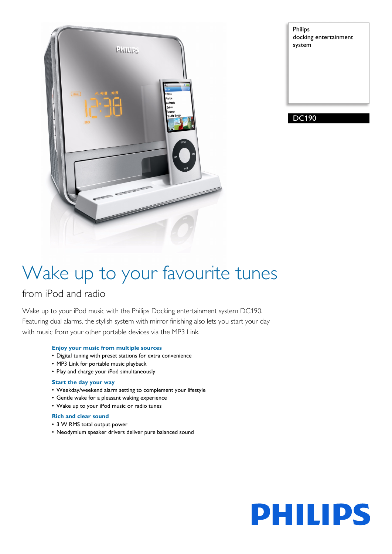

Philips docking entertainment system

DC190

## Wake up to your favourite tunes

### from iPod and radio

Wake up to your iPod music with the Philips Docking entertainment system DC190. Featuring dual alarms, the stylish system with mirror finishing also lets you start your day with music from your other portable devices via the MP3 Link.

### **Enjoy your music from multiple sources**

- Digital tuning with preset stations for extra convenience
- MP3 Link for portable music playback
- Play and charge your iPod simultaneously

### **Start the day your way**

- Weekday/weekend alarm setting to complement your lifestyle
- Gentle wake for a pleasant waking experience
- Wake up to your iPod music or radio tunes

### **Rich and clear sound**

- 3 W RMS total output power
- Neodymium speaker drivers deliver pure balanced sound